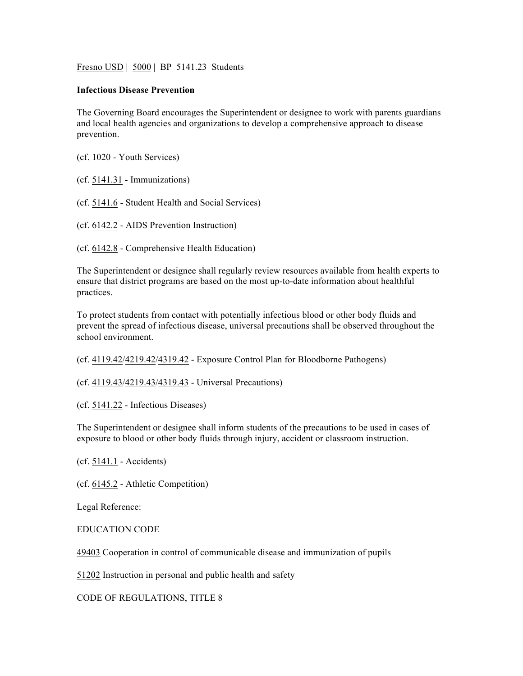Fresno USD | 5000 | BP 5141.23 Students

## **Infectious Disease Prevention**

The Governing Board encourages the Superintendent or designee to work with parents guardians and local health agencies and organizations to develop a comprehensive approach to disease prevention.

(cf. 1020 - Youth Services)

(cf. 5141.31 - Immunizations)

(cf. 5141.6 - Student Health and Social Services)

(cf. 6142.2 - AIDS Prevention Instruction)

(cf. 6142.8 - Comprehensive Health Education)

The Superintendent or designee shall regularly review resources available from health experts to ensure that district programs are based on the most up-to-date information about healthful practices.

To protect students from contact with potentially infectious blood or other body fluids and prevent the spread of infectious disease, universal precautions shall be observed throughout the school environment.

(cf. 4119.42/4219.42/4319.42 - Exposure Control Plan for Bloodborne Pathogens)

(cf. 4119.43/4219.43/4319.43 - Universal Precautions)

(cf. 5141.22 - Infectious Diseases)

The Superintendent or designee shall inform students of the precautions to be used in cases of exposure to blood or other body fluids through injury, accident or classroom instruction.

(cf. 5141.1 - Accidents)

(cf. 6145.2 - Athletic Competition)

Legal Reference:

EDUCATION CODE

49403 Cooperation in control of communicable disease and immunization of pupils

51202 Instruction in personal and public health and safety

CODE OF REGULATIONS, TITLE 8